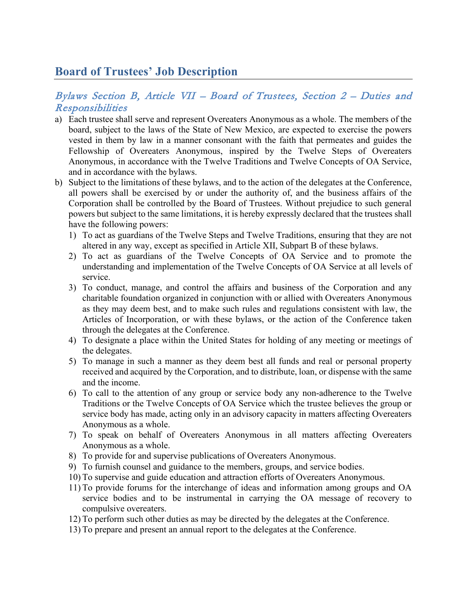## **Board of Trustees' Job Description**

## Bylaws Section B, Article VII – Board of Trustees, Section 2 – Duties and Responsibilities

- a) Each trustee shall serve and represent Overeaters Anonymous as a whole. The members of the board, subject to the laws of the State of New Mexico, are expected to exercise the powers vested in them by law in a manner consonant with the faith that permeates and guides the Fellowship of Overeaters Anonymous, inspired by the Twelve Steps of Overeaters Anonymous, in accordance with the Twelve Traditions and Twelve Concepts of OA Service, and in accordance with the bylaws.
- b) Subject to the limitations of these bylaws, and to the action of the delegates at the Conference, all powers shall be exercised by or under the authority of, and the business affairs of the Corporation shall be controlled by the Board of Trustees. Without prejudice to such general powers but subject to the same limitations, it is hereby expressly declared that the trustees shall have the following powers:
	- 1) To act as guardians of the Twelve Steps and Twelve Traditions, ensuring that they are not altered in any way, except as specified in Article XII, Subpart B of these bylaws.
	- 2) To act as guardians of the Twelve Concepts of OA Service and to promote the understanding and implementation of the Twelve Concepts of OA Service at all levels of service.
	- 3) To conduct, manage, and control the affairs and business of the Corporation and any charitable foundation organized in conjunction with or allied with Overeaters Anonymous as they may deem best, and to make such rules and regulations consistent with law, the Articles of Incorporation, or with these bylaws, or the action of the Conference taken through the delegates at the Conference.
	- 4) To designate a place within the United States for holding of any meeting or meetings of the delegates.
	- 5) To manage in such a manner as they deem best all funds and real or personal property received and acquired by the Corporation, and to distribute, loan, or dispense with the same and the income.
	- 6) To call to the attention of any group or service body any non-adherence to the Twelve Traditions or the Twelve Concepts of OA Service which the trustee believes the group or service body has made, acting only in an advisory capacity in matters affecting Overeaters Anonymous as a whole.
	- 7) To speak on behalf of Overeaters Anonymous in all matters affecting Overeaters Anonymous as a whole.
	- 8) To provide for and supervise publications of Overeaters Anonymous.
	- 9) To furnish counsel and guidance to the members, groups, and service bodies.
	- 10) To supervise and guide education and attraction efforts of Overeaters Anonymous.
	- 11) To provide forums for the interchange of ideas and information among groups and OA service bodies and to be instrumental in carrying the OA message of recovery to compulsive overeaters.
	- 12) To perform such other duties as may be directed by the delegates at the Conference.
	- 13) To prepare and present an annual report to the delegates at the Conference.